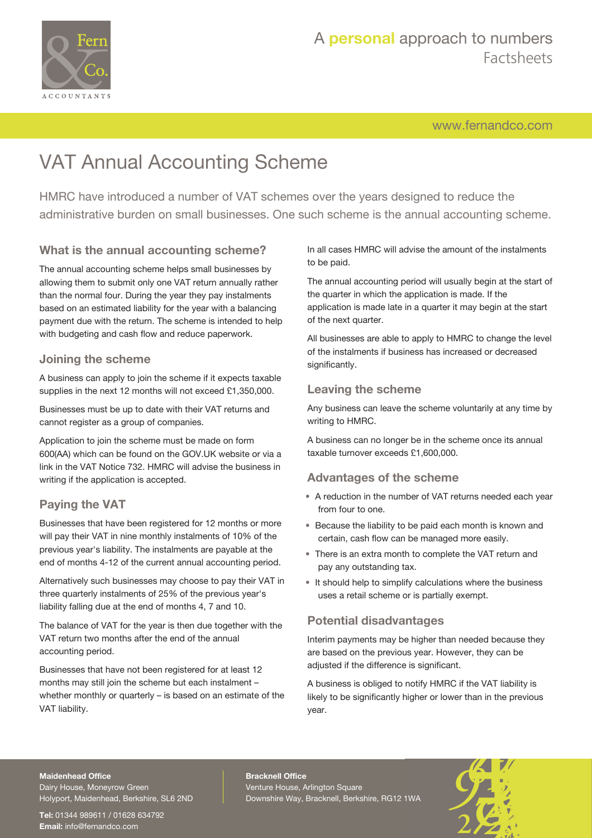

# A **personal** approach to numbers Factsheets

[www.fernandco.com](http://www.fernandco.com)

# VAT Annual Accounting Scheme

HMRC have introduced a number of VAT schemes over the years designed to reduce the administrative burden on small businesses. One such scheme is the annual accounting scheme.

## **What is the annual accounting scheme?**

The annual accounting scheme helps small businesses by allowing them to submit only one VAT return annually rather than the normal four. During the year they pay instalments based on an estimated liability for the year with a balancing payment due with the return. The scheme is intended to help with budgeting and cash flow and reduce paperwork.

#### **Joining the scheme**

A business can apply to join the scheme if it expects taxable supplies in the next 12 months will not exceed £1,350,000.

Businesses must be up to date with their VAT returns and cannot register as a group of companies.

Application to join the scheme must be made on form 600(AA) which can be found on the GOV.UK website or via a link in the VAT Notice 732. HMRC will advise the business in writing if the application is accepted.

## **Paying the VAT**

Businesses that have been registered for 12 months or more will pay their VAT in nine monthly instalments of 10% of the previous year's liability. The instalments are payable at the end of months 4-12 of the current annual accounting period.

Alternatively such businesses may choose to pay their VAT in three quarterly instalments of 25% of the previous year's liability falling due at the end of months 4, 7 and 10.

The balance of VAT for the year is then due together with the VAT return two months after the end of the annual accounting period.

Businesses that have not been registered for at least 12 months may still join the scheme but each instalment – whether monthly or quarterly – is based on an estimate of the VAT liability.

In all cases HMRC will advise the amount of the instalments to be paid.

The annual accounting period will usually begin at the start of the quarter in which the application is made. If the application is made late in a quarter it may begin at the start of the next quarter.

All businesses are able to apply to HMRC to change the level of the instalments if business has increased or decreased significantly.

#### **Leaving the scheme**

Any business can leave the scheme voluntarily at any time by writing to HMRC.

A business can no longer be in the scheme once its annual taxable turnover exceeds £1,600,000.

#### **Advantages of the scheme**

- A reduction in the number of VAT returns needed each year from four to one.
- Because the liability to be paid each month is known and certain, cash flow can be managed more easily.
- There is an extra month to complete the VAT return and pay any outstanding tax.
- It should help to simplify calculations where the business uses a retail scheme or is partially exempt.

## **Potential disadvantages**

Interim payments may be higher than needed because they are based on the previous year. However, they can be adjusted if the difference is significant.

A business is obliged to notify HMRC if the VAT liability is likely to be significantly higher or lower than in the previous year.

#### **Maidenhead Office**

Dairy House, Moneyrow Green Holyport, Maidenhead, Berkshire, SL6 2ND

**Tel:** 01344 989611 / 01628 634792 **Email:** [info@fernandco.com](mailto:info@fernandco.com)

**Bracknell Office** Venture House, Arlington Square Downshire Way, Bracknell, Berkshire, RG12 1WA